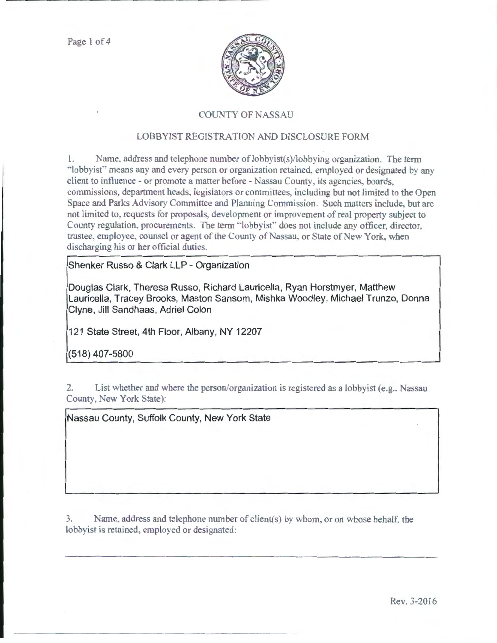

### **COUNTY OF NASSAU**

## LOBBYIST REGISTRATION AND DISCLOSURE FORM

1. Name, address and telephone number of lobbyist(s)/lobbying organization. The term ·'lobbyist" means any and every person or organization retained, employed or designated by any client to influence - or promote a matter before - Nassau County, its agencies, boards. commissions, department heads. legislators or committees. including but not limited to the Open Space and Parks Advisory Committee and Planning Commission. Such matters include, but arc not limited to, requests for proposals, development or improvement of real property subject to County regulation, procurements. The term "lobbyist" does not include any officer, director, trustee, employee, counsel or agent of the County of Nassau, or State of New York, when discharging his or her official duties.

**Shenker Russo & Clark LLP - Organization** 

**Douglas Clark, Theresa Russo, Richard Lauricella , Ryan Horstmyer, Matthew Lauricella, Tracey Brooks, Maston Sansom, Mishka Woodley, Michael Trunzo, Donna Clyne, Jill Sandhaas, Adriel Colon** 

**121 State Street, 4th Floor, Albany, NY 12207** 

 $(518)$  407-5800

2. List whether and where the person/organization is registered as a lobbyist (e.g., Nassau County, New York State):

**Nassau County, Suffolk County, New York State** 

3. Name, address and telephone number of client(s) by whom. or on whose behalf. the lobbyist is retained, employed or designated: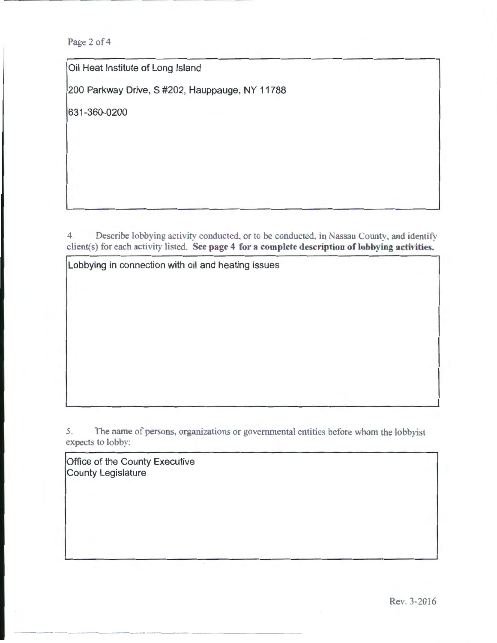Page 2 of 4

Oil Heat Institute of Long Island

200 Parkway Drive, S #202, Hauppauge, NY 11788

631-360-0200

4. Describe lobbying activity conducted, or to be conducted, in Nassau County, and identify client(s) for each activity listed. See page 4 for a complete description of lobbying activities.

Lobbying in connection with oil and heating issues

5. The name of persons. organizations or governmental entities before whom the lobbyist expects to lobby:

Office of the County Executive County Legislature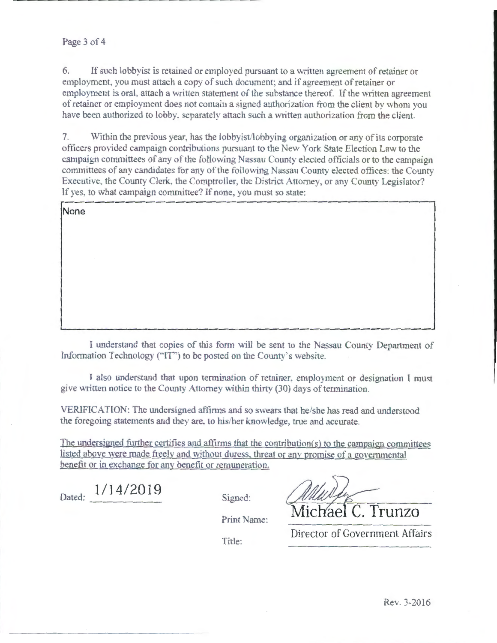#### Page 3 of 4

.......... \_\_\_\_\_\_\_\_\_\_\_\_ \_

6. If such lobbyist is retained or employed pursuant to a written agreement of retainer or employment, you must attach a copy of such document; and if agreement of retainer or employment is oral, attach a written statement of the substance thereof. If the written agreement of retainer or employment does not contain a signed authorization from the client by whom you have been authorized to lobby, separately attach such a written authorization from the client.

7. Within the previous year. has the lobbyist/lobbying organization or any of its corporate officers provided campaign contributions pursuant to the New York State Election Law to the campaign committees of any of the following Nassau County elected officials or to the campaign committees of any candidates tor any of the following Nassau County elected offices: the County Executive, the County Clerk, the Comptroller, the District Attorney, or any County Legislator? If yes. to what campaign committee? If none. you must so state:

| None |  |  |
|------|--|--|
|      |  |  |
|      |  |  |
|      |  |  |
|      |  |  |
|      |  |  |
|      |  |  |

I understand that copies of this form will be sent to the Nassau County Department of Information Technology ("IT") to be posted on the County's website.

I also understand that upon termination of retainer, employment or designation I must give written notice to the County Attorney vvithin thirty (30) days of termination.

VERIFICATION: The undersigned affirms and so swears that he/she has read and understood the foregoing statements and they are. to his/her knowledge. true and accurate.

The undersigned further certifies and affirms that the contribution(s) to the campaign committees listed above were made freely and without duress. threat or any promise of a governmental benefit or in exchange for any benefit or remuneration.

Dated: **1/14/2019** 

Signed:

Print Name: Michael C. Trunzo

Title:

Director of Government Affairs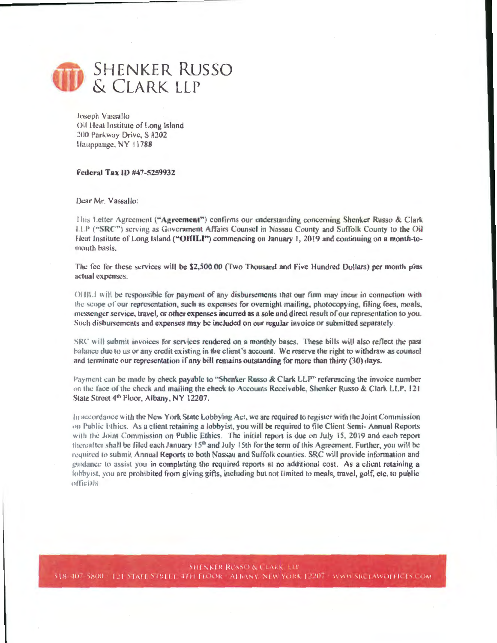

Joseph Vassallo Oil Heat Institute of Long Island 200 Parkway Drive, S #202 Hauppauge, NY 11788

#### Federal Tax 1D #47-5259932

Dear Mr. Vassallo:

Hiis Letter Agreement ("Agreement") confirms our understanding concerning Shenker Russo & Clark LLP ("SRC") serving as Government Affairs Counsel in Nassau County and Suffolk County to the Oil Heat Institute of Long Island ("OHILI") commencing on January 1, 2019 and continuing on a month-tomonth basis.

The fee for these services will be \$2,500.00 (Two Thousand and Five Hundred Dollars) per month plus actual expenses.

OHIL I will be responsible for payment of any disbursements that our firm may incur in connection with the scope of our representation, such as expenses for overnight mailing, photocopying, filing fees, meals, messenger service, travel, or other expenses incurred as a sole and direct result of our representation to you. Such disbursements and expenses may be included on our regular invoice or submitted separately.

SRC will submit invoices for services rendered on a monthly bases. These bills will also reflect the past balance due to us or any credit existing in the client's account. We reserve the right to withdraw as counsel and terminate our representation if any bill remains outstanding for more than thirty (30) days.

Payment can be made by check payable to "Shenker Russo & Clark LLP" referencing the invoice number on the face of the check and mailing the check to Accounts Receivable, Shenker Russo & Clark LLP, 121 State Street 4<sup>th</sup> Floor, Albany, NY 12207.

In accordance with the New York State Lobbying Act, we are required to register with the Joint Commission on Public Ethics. As a client retaining a lobbyist, you will be required to file Client Semi-Annual Reports with the Joint Commission on Public Ethics. The initial report is due on July 15, 2019 and each report thereafter shall be filed each January  $15<sup>th</sup>$  and July 15th for the term of this Agreement. Further, you will be required to submit Annual Reports to both Nassau and Suffolk counties. SRC will provide information and guidance to assist you in completing the required reports at no additional cost. As a client retaining a lobbyist, you are prohibited from giving gifts, including but not limited to meals, travel, golf, etc. to public officials

**SHENKER RUSSO & CLARK TLE** 518-407-5800 / 121 STATE STREET 4TH FLOOR - ALBANY, NEW YORK 12207 - WWW SRCTAWOLFICES.COM